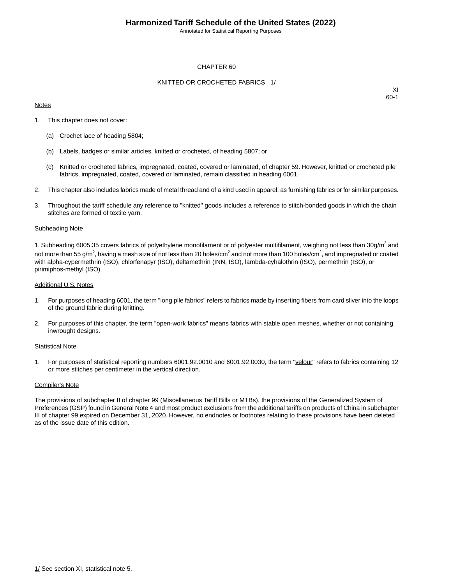Annotated for Statistical Reporting Purposes

### CHAPTER 60

### KNITTED OR CROCHETED FABRICS 1/

### **Notes**

XI 60-1

- 1. This chapter does not cover:
	- (a) Crochet lace of heading 5804;
	- (b) Labels, badges or similar articles, knitted or crocheted, of heading 5807; or
	- (c) Knitted or crocheted fabrics, impregnated, coated, covered or laminated, of chapter 59. However, knitted or crocheted pile fabrics, impregnated, coated, covered or laminated, remain classified in heading 6001.
- 2. This chapter also includes fabrics made of metal thread and of a kind used in apparel, as furnishing fabrics or for similar purposes.
- 3. Throughout the tariff schedule any reference to "knitted" goods includes a reference to stitch-bonded goods in which the chain stitches are formed of textile yarn.

### Subheading Note

1. Subheading 6005.35 covers fabrics of polyethylene monofilament or of polyester multifilament, weighing not less than 30g/m<sup>2</sup> and not more than 55 g/m $^2$ , having a mesh size of not less than 20 holes/cm $^2$  and not more than 100 holes/cm $^2$ , and impregnated or coated with alpha-cypermethrin (ISO), chlorfenapyr (ISO), deltamethrin (INN, ISO), lambda-cyhalothrin (ISO), permethrin (ISO), or pirimiphos-methyl (ISO).

### Additional U.S. Notes

- 1. For purposes of heading 6001, the term "long pile fabrics" refers to fabrics made by inserting fibers from card sliver into the loops of the ground fabric during knitting.
- 2. For purposes of this chapter, the term "open-work fabrics" means fabrics with stable open meshes, whether or not containing inwrought designs.

### Statistical Note

1. For purposes of statistical reporting numbers 6001.92.0010 and 6001.92.0030, the term "velour" refers to fabrics containing 12 or more stitches per centimeter in the vertical direction.

### Compiler's Note

The provisions of subchapter II of chapter 99 (Miscellaneous Tariff Bills or MTBs), the provisions of the Generalized System of Preferences (GSP) found in General Note 4 and most product exclusions from the additional tariffs on products of China in subchapter III of chapter 99 expired on December 31, 2020. However, no endnotes or footnotes relating to these provisions have been deleted as of the issue date of this edition.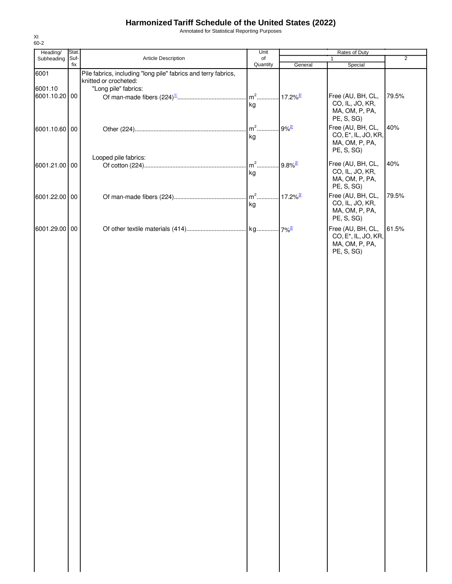Annotated for Statistical Reporting Purposes

| Heading/      | Stat.  |                                                                | Unit     |                        | Rates of Duty                        |                |
|---------------|--------|----------------------------------------------------------------|----------|------------------------|--------------------------------------|----------------|
| Subheading    | Suf-   | Article Description                                            | of       |                        | $\mathbf{1}$                         | $\overline{2}$ |
| 6001          | fix    | Pile fabrics, including "long pile" fabrics and terry fabrics, | Quantity | General                | Special                              |                |
|               |        | knitted or crocheted:                                          |          |                        |                                      |                |
| 6001.10       |        | "Long pile" fabrics:                                           |          |                        |                                      |                |
| 6001.10.20    | $00\,$ |                                                                | $m2$     | $17.2\%$ <sup>2/</sup> | Free (AU, BH, CL,<br>CO, IL, JO, KR, | 79.5%          |
|               |        |                                                                | kg       |                        | MA, OM, P, PA,                       |                |
|               |        |                                                                |          |                        | PE, S, SG)                           |                |
| 6001.10.60 00 |        |                                                                | $m2$     | $9%^{2/2}$             | Free (AU, BH, CL,                    | 40%            |
|               |        |                                                                | kg       |                        | CO, E <sup>*</sup> , IL, JO, KR,     |                |
|               |        |                                                                |          |                        | MA, OM, P, PA,                       |                |
|               |        |                                                                |          |                        | PE, S, SG)                           |                |
|               |        | Looped pile fabrics:                                           |          | $9.8\%$ <sup>2/</sup>  | Free (AU, BH, CL,                    | 40%            |
| 6001.21.00 00 |        |                                                                | kg       |                        | CO, IL, JO, KR,                      |                |
|               |        |                                                                |          |                        | MA, OM, P, PA,                       |                |
|               |        |                                                                |          |                        | PE, S, SG)                           |                |
| 6001.22.00 00 |        |                                                                |          | $17.2\%$ <sup>3/</sup> | Free (AU, BH, CL,                    | 79.5%          |
|               |        |                                                                | kg       |                        | CO, IL, JO, KR,                      |                |
|               |        |                                                                |          |                        | MA, OM, P, PA,                       |                |
|               |        |                                                                |          |                        | PE, S, SG)                           |                |
| 6001.29.00 00 |        |                                                                |          |                        | Free (AU, BH, CL,                    | 61.5%          |
|               |        |                                                                |          |                        | CO, E <sup>*</sup> , IL, JO, KR,     |                |
|               |        |                                                                |          |                        | MA, OM, P, PA,<br>PE, S, SG)         |                |
|               |        |                                                                |          |                        |                                      |                |
|               |        |                                                                |          |                        |                                      |                |
|               |        |                                                                |          |                        |                                      |                |
|               |        |                                                                |          |                        |                                      |                |
|               |        |                                                                |          |                        |                                      |                |
|               |        |                                                                |          |                        |                                      |                |
|               |        |                                                                |          |                        |                                      |                |
|               |        |                                                                |          |                        |                                      |                |
|               |        |                                                                |          |                        |                                      |                |
|               |        |                                                                |          |                        |                                      |                |
|               |        |                                                                |          |                        |                                      |                |
|               |        |                                                                |          |                        |                                      |                |
|               |        |                                                                |          |                        |                                      |                |
|               |        |                                                                |          |                        |                                      |                |
|               |        |                                                                |          |                        |                                      |                |
|               |        |                                                                |          |                        |                                      |                |
|               |        |                                                                |          |                        |                                      |                |
|               |        |                                                                |          |                        |                                      |                |
|               |        |                                                                |          |                        |                                      |                |
|               |        |                                                                |          |                        |                                      |                |
|               |        |                                                                |          |                        |                                      |                |
|               |        |                                                                |          |                        |                                      |                |
|               |        |                                                                |          |                        |                                      |                |
|               |        |                                                                |          |                        |                                      |                |
|               |        |                                                                |          |                        |                                      |                |
|               |        |                                                                |          |                        |                                      |                |
|               |        |                                                                |          |                        |                                      |                |
|               |        |                                                                |          |                        |                                      |                |
|               |        |                                                                |          |                        |                                      |                |
|               |        |                                                                |          |                        |                                      |                |
|               |        |                                                                |          |                        |                                      |                |
|               |        |                                                                |          |                        |                                      |                |
|               |        |                                                                |          |                        |                                      |                |
|               |        |                                                                |          |                        |                                      |                |
|               |        |                                                                |          |                        |                                      |                |
|               |        |                                                                |          |                        |                                      |                |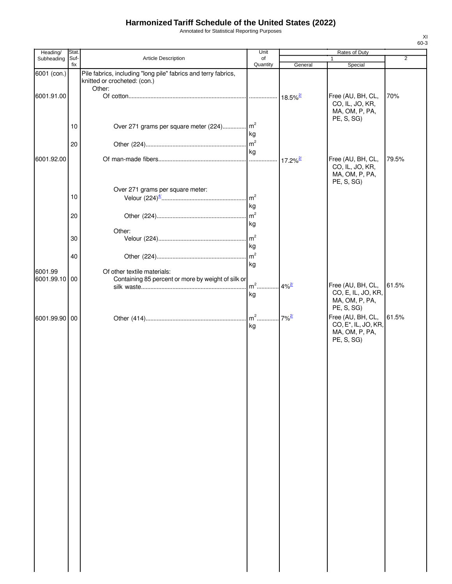Annotated for Statistical Reporting Purposes

| Heading/                 | Stat.       |                                                                                                          | Unit                 | Rates of Duty          |                                                                                                     |                |
|--------------------------|-------------|----------------------------------------------------------------------------------------------------------|----------------------|------------------------|-----------------------------------------------------------------------------------------------------|----------------|
| Subheading               | Suf-<br>fix | Article Description                                                                                      | of<br>Quantity       | General                | Special                                                                                             | $\overline{2}$ |
| 6001 (con.)              |             | Pile fabrics, including "long pile" fabrics and terry fabrics,<br>knitted or crocheted: (con.)<br>Other: |                      |                        |                                                                                                     |                |
| 6001.91.00               |             |                                                                                                          |                      |                        | Free (AU, BH, CL,<br>CO, IL, JO, KR,<br>MA, OM, P, PA,                                              | 70%            |
|                          | 10          | Over 271 grams per square meter (224) m <sup>2</sup>                                                     | kg                   |                        | PE, S, SG)                                                                                          |                |
|                          | 20          |                                                                                                          | kg                   |                        |                                                                                                     |                |
| 6001.92.00               |             |                                                                                                          |                      | $17.2\%$ <sup>2/</sup> | Free (AU, BH, CL,<br>CO, IL, JO, KR,<br>MA, OM, P, PA,<br>PE, S, SG)                                | 79.5%          |
|                          | 10          | Over 271 grams per square meter:                                                                         | m <sup>2</sup><br>kg |                        |                                                                                                     |                |
|                          | 20          |                                                                                                          | m <sup>2</sup><br>kg |                        |                                                                                                     |                |
|                          | 30          | Other:                                                                                                   | m <sup>2</sup><br>kg |                        |                                                                                                     |                |
|                          | 40          |                                                                                                          | m <sup>2</sup><br>kg |                        |                                                                                                     |                |
| 6001.99<br>6001.99.10 00 |             | Of other textile materials:<br>Containing 85 percent or more by weight of silk or                        | $m2$ .<br>kg         | $4%^{2/2}$             | Free (AU, BH, CL,<br>CO, E, IL, JO, KR,<br>MA, OM, P, PA,                                           | 61.5%          |
| 6001.99.90 00            |             |                                                                                                          | kg                   | $7%^{2/2}$             | PE, S, SG)<br>Free (AU, BH, CL,<br>CO, E <sup>*</sup> , IL, JO, KR,<br>MA, OM, P, PA,<br>PE, S, SG) | 61.5%          |
|                          |             |                                                                                                          |                      |                        |                                                                                                     |                |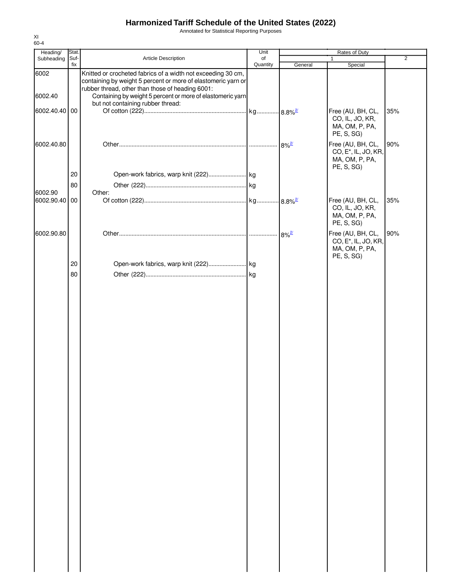Annotated for Statistical Reporting Purposes

| Heading/      | Stat.       |                                                                                                                                                                                   | Unit           |                     | Rates of Duty                                                                         |                |
|---------------|-------------|-----------------------------------------------------------------------------------------------------------------------------------------------------------------------------------|----------------|---------------------|---------------------------------------------------------------------------------------|----------------|
| Subheading    | Suf-<br>fix | Article Description                                                                                                                                                               | of<br>Quantity | General             | 1<br>Special                                                                          | $\overline{2}$ |
| 6002          |             | Knitted or crocheted fabrics of a width not exceeding 30 cm,<br>containing by weight 5 percent or more of elastomeric yarn or<br>rubber thread, other than those of heading 6001: |                |                     |                                                                                       |                |
| 6002.40       |             | Containing by weight 5 percent or more of elastomeric yarn                                                                                                                        |                |                     |                                                                                       |                |
|               |             | but not containing rubber thread:                                                                                                                                                 |                |                     |                                                                                       |                |
| 6002.40.40 00 |             |                                                                                                                                                                                   |                |                     | Free (AU, BH, CL,<br>CO, IL, JO, KR,<br>MA, OM, P, PA,<br>PE, S, SG)                  | 35%            |
| 6002.40.80    |             |                                                                                                                                                                                   |                | $8\%$ <sup>2/</sup> | Free (AU, BH, CL,<br>CO, E <sup>*</sup> , IL, JO, KR,<br>MA, OM, P, PA,<br>PE, S, SG) | 90%            |
|               | 20          |                                                                                                                                                                                   |                |                     |                                                                                       |                |
|               | 80          |                                                                                                                                                                                   |                |                     |                                                                                       |                |
| 6002.90       |             | Other:                                                                                                                                                                            |                |                     |                                                                                       |                |
| 6002.90.40    | 00          |                                                                                                                                                                                   |                |                     | Free (AU, BH, CL,<br>CO, IL, JO, KR,<br>MA, OM, P, PA,<br>PE, S, SG)                  | 35%            |
| 6002.90.80    |             |                                                                                                                                                                                   |                | $8\%^{2/2}$         | Free (AU, BH, CL,<br>CO, E <sup>*</sup> , IL, JO, KR,<br>MA, OM, P, PA,               | 90%            |
|               | 20          |                                                                                                                                                                                   |                |                     | PE, S, SG)                                                                            |                |
|               | 80          |                                                                                                                                                                                   |                |                     |                                                                                       |                |
|               |             |                                                                                                                                                                                   |                |                     |                                                                                       |                |
|               |             |                                                                                                                                                                                   |                |                     |                                                                                       |                |
|               |             |                                                                                                                                                                                   |                |                     |                                                                                       |                |
|               |             |                                                                                                                                                                                   |                |                     |                                                                                       |                |
|               |             |                                                                                                                                                                                   |                |                     |                                                                                       |                |
|               |             |                                                                                                                                                                                   |                |                     |                                                                                       |                |
|               |             |                                                                                                                                                                                   |                |                     |                                                                                       |                |
|               |             |                                                                                                                                                                                   |                |                     |                                                                                       |                |
|               |             |                                                                                                                                                                                   |                |                     |                                                                                       |                |
|               |             |                                                                                                                                                                                   |                |                     |                                                                                       |                |
|               |             |                                                                                                                                                                                   |                |                     |                                                                                       |                |
|               |             |                                                                                                                                                                                   |                |                     |                                                                                       |                |
|               |             |                                                                                                                                                                                   |                |                     |                                                                                       |                |
|               |             |                                                                                                                                                                                   |                |                     |                                                                                       |                |
|               |             |                                                                                                                                                                                   |                |                     |                                                                                       |                |
|               |             |                                                                                                                                                                                   |                |                     |                                                                                       |                |
|               |             |                                                                                                                                                                                   |                |                     |                                                                                       |                |
|               |             |                                                                                                                                                                                   |                |                     |                                                                                       |                |
|               |             |                                                                                                                                                                                   |                |                     |                                                                                       |                |
|               |             |                                                                                                                                                                                   |                |                     |                                                                                       |                |
|               |             |                                                                                                                                                                                   |                |                     |                                                                                       |                |
|               |             |                                                                                                                                                                                   |                |                     |                                                                                       |                |
|               |             |                                                                                                                                                                                   |                |                     |                                                                                       |                |
|               |             |                                                                                                                                                                                   |                |                     |                                                                                       |                |
|               |             |                                                                                                                                                                                   |                |                     |                                                                                       |                |
|               |             |                                                                                                                                                                                   |                |                     |                                                                                       |                |
|               |             |                                                                                                                                                                                   |                |                     |                                                                                       |                |
|               |             |                                                                                                                                                                                   |                |                     |                                                                                       |                |
|               |             |                                                                                                                                                                                   |                |                     |                                                                                       |                |
|               |             |                                                                                                                                                                                   |                |                     |                                                                                       |                |
|               |             |                                                                                                                                                                                   |                |                     |                                                                                       |                |
|               |             |                                                                                                                                                                                   |                |                     |                                                                                       |                |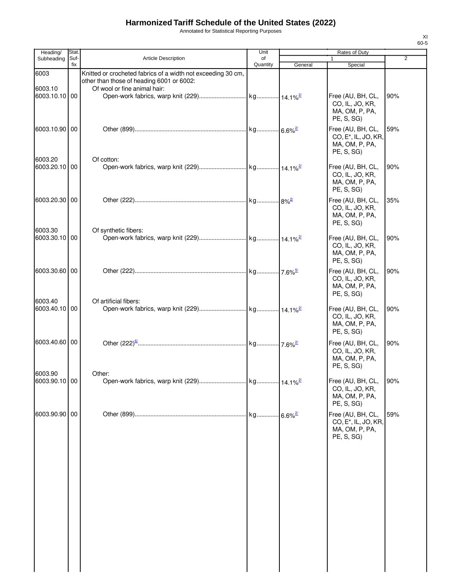Annotated for Statistical Reporting Purposes

| Heading/                 | Stat.       |                                                                                                                                           | Unit           |         | Rates of Duty                                                                         |                |
|--------------------------|-------------|-------------------------------------------------------------------------------------------------------------------------------------------|----------------|---------|---------------------------------------------------------------------------------------|----------------|
| Subheading               | Suf-<br>fix | <b>Article Description</b>                                                                                                                | of<br>Quantity | General | $\mathbf{1}$<br>Special                                                               | $\overline{2}$ |
| 6003<br>6003.10          |             | Knitted or crocheted fabrics of a width not exceeding 30 cm,<br>other than those of heading 6001 or 6002:<br>Of wool or fine animal hair: |                |         |                                                                                       |                |
| 6003.10.10 00            |             |                                                                                                                                           |                |         | Free (AU, BH, CL,<br>CO, IL, JO, KR,<br>MA, OM, P, PA,<br>PE, S, SG)                  | 90%            |
| 6003.10.90 00            |             |                                                                                                                                           |                |         | Free (AU, BH, CL,<br>CO, E <sup>*</sup> , IL, JO, KR,<br>MA, OM, P, PA,<br>PE, S, SG) | 59%            |
| 6003.20<br>6003.20.10 00 |             | Of cotton:                                                                                                                                |                |         | Free (AU, BH, CL,<br>CO, IL, JO, KR,<br>MA, OM, P, PA,<br>PE, S, SG)                  | 90%            |
| 6003.20.30 00            |             |                                                                                                                                           |                |         | Free (AU, BH, CL,<br>CO, IL, JO, KR,<br>MA, OM, P, PA,<br>PE, S, SG)                  | 35%            |
| 6003.30<br>6003.30.10 00 |             | Of synthetic fibers:                                                                                                                      |                |         | Free (AU, BH, CL,<br>CO, IL, JO, KR,<br>MA, OM, P, PA,<br>PE, S, SG)                  | 90%            |
| 6003.30.60 00            |             |                                                                                                                                           |                |         | Free (AU, BH, CL,<br>CO, IL, JO, KR,<br>MA, OM, P, PA,<br>PE, S, SG)                  | 90%            |
| 6003.40<br>6003.40.10 00 |             | Of artificial fibers:                                                                                                                     |                |         | Free (AU, BH, CL,<br>CO, IL, JO, KR,<br>MA, OM, P, PA,<br>PE, S, SG)                  | 90%            |
| 6003.40.60 00            |             |                                                                                                                                           |                |         | Free (AU, BH, CL,<br>CO, IL, JO, KR,<br>MA, OM, P, PA,<br>PE, S, SG)                  | 90%            |
| 6003.90<br>6003.90.10 00 |             | Other:                                                                                                                                    |                |         | Free (AU, BH, CL,<br>CO, IL, JO, KR,<br>MA, OM, P, PA,<br>PE, S, SG)                  | 90%            |
| 6003.90.90 00            |             |                                                                                                                                           |                |         | Free (AU, BH, CL,<br>CO, E <sup>*</sup> , IL, JO, KR,<br>MA, OM, P, PA,<br>PE, S, SG) | 59%            |
|                          |             |                                                                                                                                           |                |         |                                                                                       |                |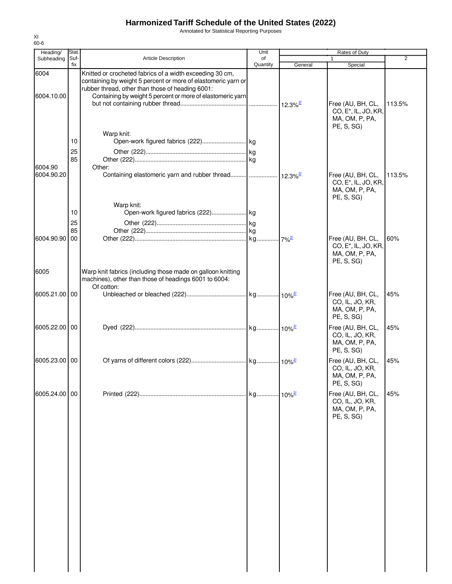Annotated for Statistical Reporting Purposes

| Heading/              | Stat.          |                                                                                                                                                                                                                                             | Unit           |         | Rates of Duty                                                                         |                |
|-----------------------|----------------|---------------------------------------------------------------------------------------------------------------------------------------------------------------------------------------------------------------------------------------------|----------------|---------|---------------------------------------------------------------------------------------|----------------|
| Subheading            | Suf-<br>fix    | <b>Article Description</b>                                                                                                                                                                                                                  | of<br>Quantity | General | 1<br>Special                                                                          | $\overline{2}$ |
| 6004<br>6004.10.00    |                | Knitted or crocheted fabrics of a width exceeding 30 cm,<br>containing by weight 5 percent or more of elastomeric yarn or<br>rubber thread, other than those of heading 6001:<br>Containing by weight 5 percent or more of elastomeric yarn |                |         | Free (AU, BH, CL,<br>CO, E <sup>*</sup> , IL, JO, KR,<br>MA, OM, P, PA,               | 113.5%         |
| 6004.90<br>6004.90.20 | 10<br>25<br>85 | Warp knit:<br>Other:<br>Containing elastomeric yarn and rubber thread  12.3% <sup>2</sup>                                                                                                                                                   |                |         | PE, S, SG<br>Free (AU, BH, CL,<br>CO, E <sup>*</sup> , IL, JO, KR,                    | 113.5%         |
|                       | 10<br>25<br>85 | Warp knit:                                                                                                                                                                                                                                  |                |         | MA, OM, P, PA,<br>PE, S, SG                                                           |                |
| 6004.90.90<br>6005    | 00             | Warp knit fabrics (including those made on galloon knitting                                                                                                                                                                                 |                |         | Free (AU, BH, CL,<br>CO, E <sup>*</sup> , IL, JO, KR,<br>MA, OM, P, PA,<br>PE, S, SG) | 60%            |
| 6005.21.00 00         |                | machines), other than those of headings 6001 to 6004:<br>Of cotton:                                                                                                                                                                         |                |         | Free (AU, BH, CL,<br>CO, IL, JO, KR,<br>MA, OM, P, PA,<br>PE, S, SG)                  | 45%            |
| 6005.22.00 00         |                |                                                                                                                                                                                                                                             |                |         | Free (AU, BH, CL,<br>CO, IL, JO, KR,<br>MA, OM, P, PA,<br>PE, S, SG)                  | 45%            |
| 6005.23.00 00         |                |                                                                                                                                                                                                                                             |                |         | Free (AU, BH, CL,<br>CO, IL, JO, KR,<br>MA, OM, P, PA,<br>PE, S, SG)                  | 45%            |
| 6005.24.00 00         |                |                                                                                                                                                                                                                                             |                |         | Free (AU, BH, CL,<br>CO, IL, JO, KR,<br>MA, OM, P, PA,<br>PE, S, SG)                  | 45%            |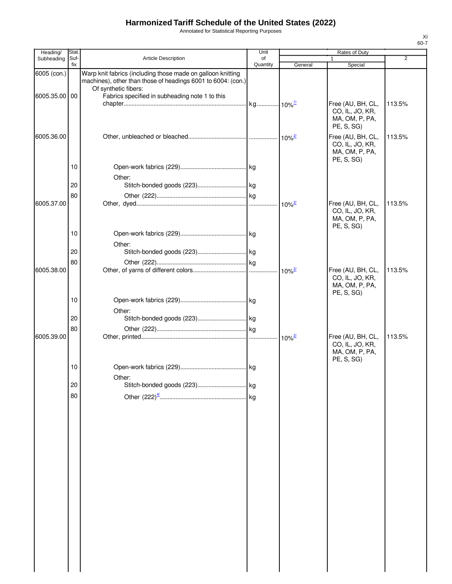Annotated for Statistical Reporting Purposes

| Heading/                     | Stat.       |                                                                                                                                                                                                       | Unit           |         | Rates of Duty                                                        |                |
|------------------------------|-------------|-------------------------------------------------------------------------------------------------------------------------------------------------------------------------------------------------------|----------------|---------|----------------------------------------------------------------------|----------------|
| Subheading                   | Suf-<br>fix | <b>Article Description</b>                                                                                                                                                                            | of<br>Quantity | General | 1<br>Special                                                         | $\overline{2}$ |
| 6005 (con.)<br>6005.35.00 00 |             | Warp knit fabrics (including those made on galloon knitting<br>machines), other than those of headings 6001 to 6004: (con.)<br>Of synthetic fibers:<br>Fabrics specified in subheading note 1 to this |                |         | Free (AU, BH, CL,                                                    | 113.5%         |
| 6005.36.00                   |             |                                                                                                                                                                                                       |                |         | CO, IL, JO, KR,<br>MA, OM, P, PA,<br>PE, S, SG)<br>Free (AU, BH, CL, | 113.5%         |
|                              |             |                                                                                                                                                                                                       |                |         | CO, IL, JO, KR,<br>MA, OM, P, PA,<br>PE, S, SG)                      |                |
|                              | 10          | Other:                                                                                                                                                                                                |                |         |                                                                      |                |
|                              | 20          |                                                                                                                                                                                                       |                |         |                                                                      |                |
|                              | 80          |                                                                                                                                                                                                       |                |         |                                                                      |                |
| 6005.37.00                   |             |                                                                                                                                                                                                       |                |         | Free (AU, BH, CL,<br>CO, IL, JO, KR,<br>MA, OM, P, PA,<br>PE, S, SG) | 113.5%         |
|                              | 10          | Other:                                                                                                                                                                                                |                |         |                                                                      |                |
|                              | 20          |                                                                                                                                                                                                       |                |         |                                                                      |                |
|                              | 80          |                                                                                                                                                                                                       |                |         |                                                                      |                |
| 6005.38.00                   |             |                                                                                                                                                                                                       |                |         | Free (AU, BH, CL,<br>CO, IL, JO, KR,<br>MA, OM, P, PA,<br>PE, S, SG) | 113.5%         |
|                              | 10          | Other:                                                                                                                                                                                                |                |         |                                                                      |                |
|                              | 20          |                                                                                                                                                                                                       |                |         |                                                                      |                |
|                              | 80          |                                                                                                                                                                                                       |                |         |                                                                      |                |
| 6005.39.00                   |             |                                                                                                                                                                                                       |                |         | Free (AU, BH, CL,<br>CO, IL, JO, KR,<br>MA, OM, P, PA,<br>PE, S, SG) | 113.5%         |
|                              | 10          | Other:                                                                                                                                                                                                |                |         |                                                                      |                |
|                              | 20          |                                                                                                                                                                                                       |                |         |                                                                      |                |
|                              | 80          |                                                                                                                                                                                                       |                |         |                                                                      |                |
|                              |             |                                                                                                                                                                                                       |                |         |                                                                      |                |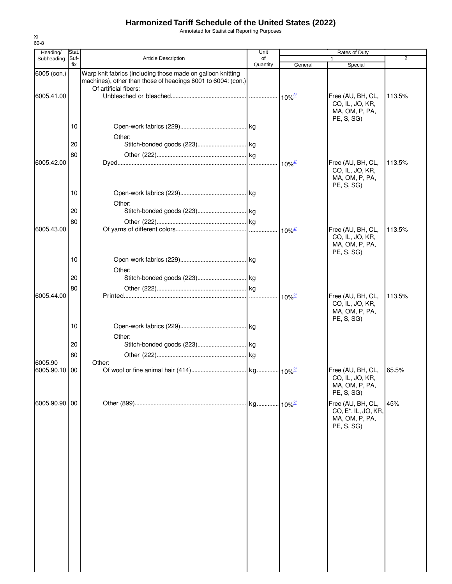Annotated for Statistical Reporting Purposes

| Heading/                 | Stat.    |                                                                                                                             | Unit                   |                      | Rates of Duty                                                                         |        |
|--------------------------|----------|-----------------------------------------------------------------------------------------------------------------------------|------------------------|----------------------|---------------------------------------------------------------------------------------|--------|
| Subheading               | Suf-     | <b>Article Description</b>                                                                                                  | of                     |                      |                                                                                       | 2      |
| 6005 (con.)              | fix      | Warp knit fabrics (including those made on galloon knitting<br>machines), other than those of headings 6001 to 6004: (con.) | Quantity               | General              | Special                                                                               |        |
| 6005.41.00               |          | Of artificial fibers:                                                                                                       |                        |                      | Free (AU, BH, CL,<br>CO, IL, JO, KR,<br>MA, OM, P, PA,                                | 113.5% |
|                          | 10       | Other:                                                                                                                      |                        |                      | PE, S, SG)                                                                            |        |
|                          | 20<br>80 |                                                                                                                             |                        |                      |                                                                                       |        |
| 6005.42.00               |          |                                                                                                                             |                        |                      | Free (AU, BH, CL,<br>CO, IL, JO, KR,<br>MA, OM, P, PA,<br>PE, S, SG                   | 113.5% |
|                          | 10       | Other:                                                                                                                      |                        |                      |                                                                                       |        |
|                          | 20<br>80 |                                                                                                                             |                        |                      |                                                                                       |        |
| 6005.43.00               |          |                                                                                                                             |                        |                      | Free (AU, BH, CL,<br>CO, IL, JO, KR,<br>MA, OM, P, PA,<br>PE, S, SG)                  | 113.5% |
|                          | 10       | Other:                                                                                                                      |                        |                      |                                                                                       |        |
|                          | 20<br>80 |                                                                                                                             |                        |                      |                                                                                       |        |
| 6005.44.00               |          |                                                                                                                             |                        | $10\%$ <sup>2/</sup> | Free (AU, BH, CL,<br>CO, IL, JO, KR,<br>MA, OM, P, PA,<br>PE, S, SG)                  | 113.5% |
|                          | 10       | Other:                                                                                                                      |                        |                      |                                                                                       |        |
|                          | 20<br>80 |                                                                                                                             |                        |                      |                                                                                       |        |
| 6005.90<br>6005.90.10 00 |          | Other:                                                                                                                      |                        |                      | Free (AU, BH, CL,<br>CO, IL, JO, KR,<br>MA, OM, P, PA,<br>PE, S, SG)                  | 65.5%  |
| 6005.90.90 00            |          |                                                                                                                             | . kg 10% <sup>2/</sup> |                      | Free (AU, BH, CL,<br>CO, E <sup>*</sup> , IL, JO, KR,<br>MA, OM, P, PA,<br>PE, S, SG) | 45%    |
|                          |          |                                                                                                                             |                        |                      |                                                                                       |        |
|                          |          |                                                                                                                             |                        |                      |                                                                                       |        |
|                          |          |                                                                                                                             |                        |                      |                                                                                       |        |
|                          |          |                                                                                                                             |                        |                      |                                                                                       |        |
|                          |          |                                                                                                                             |                        |                      |                                                                                       |        |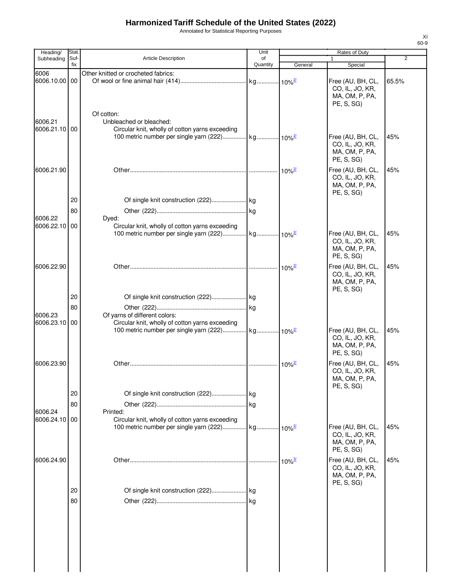Annotated for Statistical Reporting Purposes

| Heading/                 | Stat.       |                                                             | Unit           | <b>Rates of Duty</b> |                                   |                |
|--------------------------|-------------|-------------------------------------------------------------|----------------|----------------------|-----------------------------------|----------------|
| Subheading               | Suf-<br>fix | <b>Article Description</b>                                  | of<br>Quantity | General              | 1<br>Special                      | $\overline{2}$ |
| 6006                     |             | Other knitted or crocheted fabrics:                         |                |                      |                                   |                |
| 6006.10.00 00            |             |                                                             |                |                      | Free (AU, BH, CL,                 | 65.5%          |
|                          |             |                                                             |                |                      | CO, IL, JO, KR,                   |                |
|                          |             |                                                             |                |                      | MA, OM, P, PA,                    |                |
|                          |             |                                                             |                |                      | PE, S, SG)                        |                |
|                          |             | Of cotton:                                                  |                |                      |                                   |                |
| 6006.21                  |             | Unbleached or bleached:                                     |                |                      |                                   |                |
| 6006.21.10 00            |             | Circular knit, wholly of cotton yarns exceeding             |                |                      | Free (AU, BH, CL,                 | 45%            |
|                          |             |                                                             |                |                      | CO, IL, JO, KR,                   |                |
|                          |             |                                                             |                |                      | MA, OM, P, PA,                    |                |
|                          |             |                                                             |                |                      | PE, S, SG)                        |                |
| 6006.21.90               |             |                                                             |                | $10\%$ <sup>2/</sup> | Free (AU, BH, CL,                 | 45%            |
|                          |             |                                                             |                |                      | CO, IL, JO, KR,                   |                |
|                          |             |                                                             |                |                      | MA, OM, P, PA,                    |                |
|                          |             |                                                             |                |                      | PE, S, SG)                        |                |
|                          | 20          |                                                             |                |                      |                                   |                |
|                          | 80          |                                                             |                |                      |                                   |                |
| 6006.22                  |             | Dyed:                                                       |                |                      |                                   |                |
| 6006.22.10 00            |             | Circular knit, wholly of cotton yarns exceeding             |                |                      |                                   |                |
|                          |             |                                                             |                |                      | Free (AU, BH, CL,                 | 45%            |
|                          |             |                                                             |                |                      | CO, IL, JO, KR,                   |                |
|                          |             |                                                             |                |                      | MA, OM, P, PA,<br>PE, S, SG)      |                |
|                          |             |                                                             |                |                      |                                   |                |
| 6006.22.90               |             |                                                             |                | $10\%$ <sup>2/</sup> | Free (AU, BH, CL,                 | 45%            |
|                          |             |                                                             |                |                      | CO, IL, JO, KR,<br>MA, OM, P, PA, |                |
|                          |             |                                                             |                |                      | PE, S, SG)                        |                |
|                          | 20          |                                                             |                |                      |                                   |                |
|                          | 80          |                                                             |                |                      |                                   |                |
| 6006.23                  |             | Of yarns of different colors:                               |                |                      |                                   |                |
| 6006.23.10 00            |             | Circular knit, wholly of cotton yarns exceeding             |                |                      |                                   |                |
|                          |             |                                                             |                |                      | Free (AU, BH, CL,                 | 45%            |
|                          |             |                                                             |                |                      | CO, IL, JO, KR,                   |                |
|                          |             |                                                             |                |                      | MA, OM, P, PA,                    |                |
|                          |             |                                                             |                |                      | PE, S, SG)                        |                |
| 6006.23.90               |             |                                                             |                | $10\%$ <sup>2/</sup> | Free (AU, BH, CL,                 | 45%            |
|                          |             |                                                             |                |                      | CO, IL, JO, KR,                   |                |
|                          |             |                                                             |                |                      | MA, OM, P, PA,                    |                |
|                          | 20          |                                                             |                |                      | PE, S, SG)                        |                |
|                          |             |                                                             |                |                      |                                   |                |
|                          | 80          |                                                             |                |                      |                                   |                |
| 6006.24<br>6006.24.10 00 |             | Printed:<br>Circular knit, wholly of cotton yarns exceeding |                |                      |                                   |                |
|                          |             |                                                             |                |                      | Free (AU, BH, CL,                 | 45%            |
|                          |             |                                                             |                |                      | CO, IL, JO, KR,                   |                |
|                          |             |                                                             |                |                      | MA, OM, P, PA,                    |                |
|                          |             |                                                             |                |                      | PE, S, SG)                        |                |
| 6006.24.90               |             |                                                             |                |                      | Free (AU, BH, CL,                 | 45%            |
|                          |             |                                                             |                |                      | CO, IL, JO, KR,                   |                |
|                          |             |                                                             |                |                      | MA, OM, P, PA,                    |                |
|                          |             |                                                             |                |                      | PE, S, SG)                        |                |
|                          | 20          |                                                             |                |                      |                                   |                |
|                          | 80          |                                                             |                |                      |                                   |                |
|                          |             |                                                             |                |                      |                                   |                |
|                          |             |                                                             |                |                      |                                   |                |
|                          |             |                                                             |                |                      |                                   |                |
|                          |             |                                                             |                |                      |                                   |                |
|                          |             |                                                             |                |                      |                                   |                |
|                          |             |                                                             |                |                      |                                   |                |
|                          |             |                                                             |                |                      |                                   |                |
|                          |             |                                                             |                |                      |                                   |                |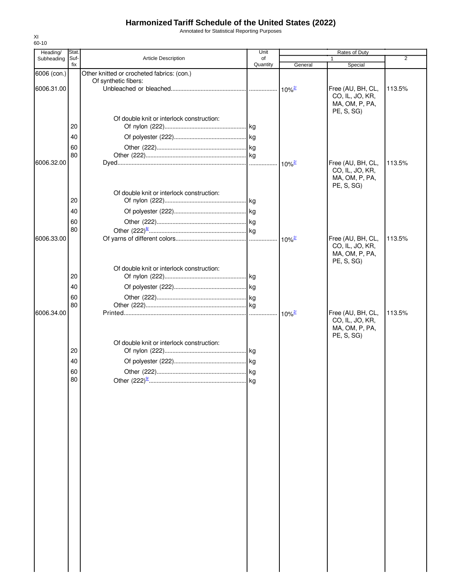Annotated for Statistical Reporting Purposes

| Heading/    | Stat. |                                            | Unit     |                      | <b>Rates of Duty</b> |                |
|-------------|-------|--------------------------------------------|----------|----------------------|----------------------|----------------|
| Subheading  | Suf-  | Article Description                        | of       |                      |                      | $\overline{2}$ |
|             | fix   |                                            | Quantity | General              | Special              |                |
| 6006 (con.) |       | Other knitted or crocheted fabrics: (con.) |          |                      |                      |                |
|             |       | Of synthetic fibers:                       |          |                      |                      |                |
| 6006.31.00  |       |                                            |          |                      | Free (AU, BH, CL,    | 113.5%         |
|             |       |                                            |          |                      | CO, IL, JO, KR,      |                |
|             |       |                                            |          |                      | MA, OM, P, PA,       |                |
|             |       |                                            |          |                      | PE, S, SG)           |                |
|             |       | Of double knit or interlock construction:  |          |                      |                      |                |
|             | 20    |                                            |          |                      |                      |                |
|             |       |                                            |          |                      |                      |                |
|             | 40    |                                            |          |                      |                      |                |
|             | 60    |                                            |          |                      |                      |                |
|             | 80    |                                            |          |                      |                      |                |
| 6006.32.00  |       |                                            |          |                      | Free (AU, BH, CL,    | 113.5%         |
|             |       |                                            |          |                      | CO, IL, JO, KR,      |                |
|             |       |                                            |          |                      | MA, OM, P, PA,       |                |
|             |       |                                            |          |                      | PE, S, SG)           |                |
|             |       | Of double knit or interlock construction:  |          |                      |                      |                |
|             | 20    |                                            |          |                      |                      |                |
|             |       |                                            |          |                      |                      |                |
|             | 40    |                                            |          |                      |                      |                |
|             |       |                                            |          |                      |                      |                |
|             | 60    |                                            |          |                      |                      |                |
|             | 80    |                                            |          |                      |                      |                |
| 6006.33.00  |       |                                            |          | $10\%$ <sup>2/</sup> | Free (AU, BH, CL,    | 113.5%         |
|             |       |                                            |          |                      | CO, IL, JO, KR,      |                |
|             |       |                                            |          |                      | MA, OM, P, PA,       |                |
|             |       |                                            |          |                      | PE, S, SG)           |                |
|             |       | Of double knit or interlock construction:  |          |                      |                      |                |
|             | 20    |                                            |          |                      |                      |                |
|             |       |                                            |          |                      |                      |                |
|             | 40    |                                            |          |                      |                      |                |
|             | 60    |                                            |          |                      |                      |                |
|             | 80    |                                            |          |                      |                      |                |
| 6006.34.00  |       |                                            |          | $10\%$ <sup>2/</sup> | Free (AU, BH, CL,    | 113.5%         |
|             |       |                                            |          |                      | CO, IL, JO, KR,      |                |
|             |       |                                            |          |                      | MA, OM, P, PA,       |                |
|             |       |                                            |          |                      | PE, S, SG)           |                |
|             |       | Of double knit or interlock construction:  |          |                      |                      |                |
|             | 20    |                                            |          |                      |                      |                |
|             |       |                                            |          |                      |                      |                |
|             | 40    |                                            |          |                      |                      |                |
|             | 60    |                                            |          |                      |                      |                |
|             | 80    |                                            |          |                      |                      |                |
|             |       |                                            |          |                      |                      |                |
|             |       |                                            |          |                      |                      |                |
|             |       |                                            |          |                      |                      |                |
|             |       |                                            |          |                      |                      |                |
|             |       |                                            |          |                      |                      |                |
|             |       |                                            |          |                      |                      |                |
|             |       |                                            |          |                      |                      |                |
|             |       |                                            |          |                      |                      |                |
|             |       |                                            |          |                      |                      |                |
|             |       |                                            |          |                      |                      |                |
|             |       |                                            |          |                      |                      |                |
|             |       |                                            |          |                      |                      |                |
|             |       |                                            |          |                      |                      |                |
|             |       |                                            |          |                      |                      |                |
|             |       |                                            |          |                      |                      |                |
|             |       |                                            |          |                      |                      |                |
|             |       |                                            |          |                      |                      |                |
|             |       |                                            |          |                      |                      |                |
|             |       |                                            |          |                      |                      |                |
|             |       |                                            |          |                      |                      |                |
|             |       |                                            |          |                      |                      |                |
|             |       |                                            |          |                      |                      |                |
|             |       |                                            |          |                      |                      |                |
|             |       |                                            |          |                      |                      |                |
|             |       |                                            |          |                      |                      |                |
|             |       |                                            |          |                      |                      |                |
|             |       |                                            |          |                      |                      |                |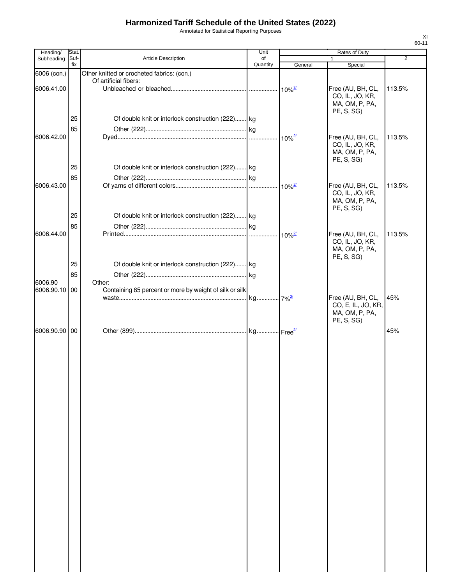Annotated for Statistical Reporting Purposes

| Heading/                 | Stat.       |                                                                   | Unit           |                      | Rates of Duty                                                           |                |
|--------------------------|-------------|-------------------------------------------------------------------|----------------|----------------------|-------------------------------------------------------------------------|----------------|
| Subheading               | Suf-<br>fix | Article Description                                               | of<br>Quantity | General              | 1<br>Special                                                            | $\overline{2}$ |
| 6006 (con.)              |             | Other knitted or crocheted fabrics: (con.)                        |                |                      |                                                                         |                |
|                          |             | Of artificial fibers:                                             |                |                      |                                                                         |                |
| 6006.41.00               |             |                                                                   |                | $10\%$ <sup>3/</sup> | Free (AU, BH, CL,<br>CO, IL, JO, KR,<br>MA, OM, P, PA,<br>PE, S, SG)    | 113.5%         |
|                          | 25          | Of double knit or interlock construction (222) kg                 |                |                      |                                                                         |                |
|                          | 85          |                                                                   |                |                      |                                                                         |                |
| 6006.42.00               |             |                                                                   |                | $10\%$ <sup>2/</sup> | Free (AU, BH, CL,<br>CO, IL, JO, KR,<br>MA, OM, P, PA,<br>PE, S, SG)    | 113.5%         |
|                          | 25          | Of double knit or interlock construction (222) kg                 |                |                      |                                                                         |                |
|                          | 85          |                                                                   |                |                      |                                                                         |                |
| 6006.43.00               |             |                                                                   |                | $10\%$ <sup>2/</sup> | Free (AU, BH, CL,                                                       | 113.5%         |
|                          |             |                                                                   |                |                      | CO, IL, JO, KR,<br>MA, OM, P, PA,<br>PE, S, SG)                         |                |
|                          | 25          | Of double knit or interlock construction (222) kg                 |                |                      |                                                                         |                |
|                          | 85          |                                                                   |                |                      |                                                                         | 113.5%         |
| 6006.44.00               |             |                                                                   |                | $10\%$ <sup>2/</sup> | Free (AU, BH, CL,<br>CO, IL, JO, KR,<br>MA, OM, P, PA,<br>PE, S, SG)    |                |
|                          | 25          | Of double knit or interlock construction (222) kg                 |                |                      |                                                                         |                |
|                          | 85          |                                                                   |                |                      |                                                                         |                |
| 6006.90<br>6006.90.10 00 |             | Other:<br>Containing 85 percent or more by weight of silk or silk |                |                      |                                                                         |                |
|                          |             |                                                                   |                |                      | Free (AU, BH, CL,<br>CO, E, IL, JO, KR,<br>MA, OM, P, PA,<br>PE, S, SG) | 45%            |
| 6006.90.90 00            |             |                                                                   |                |                      |                                                                         | 45%            |
|                          |             |                                                                   |                |                      |                                                                         |                |